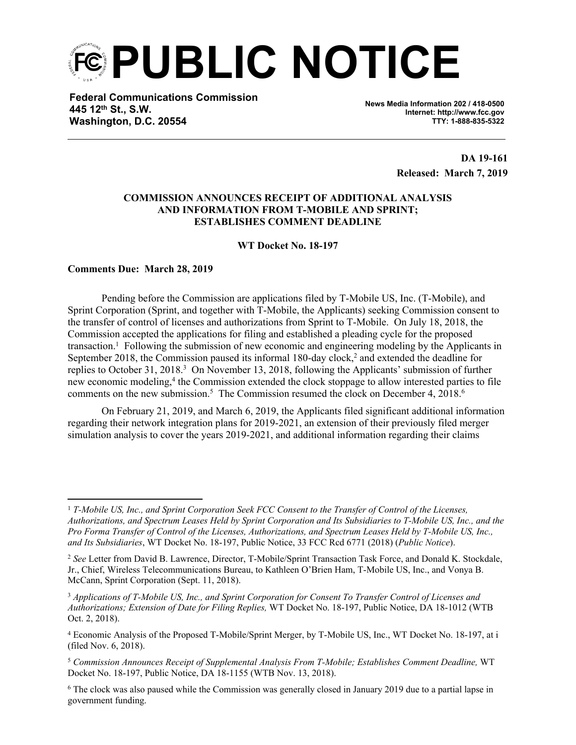**PUBLIC NOTICE**

**Federal Communications Commission 445 12th St., S.W. Washington, D.C. 20554**

**News Media Information 202 / 418-0500 Internet: http://www.fcc.gov TTY: 1-888-835-5322**

> **DA 19-161 Released: March 7, 2019**

## **COMMISSION ANNOUNCES RECEIPT OF ADDITIONAL ANALYSIS AND INFORMATION FROM T-MOBILE AND SPRINT; ESTABLISHES COMMENT DEADLINE**

**WT Docket No. 18-197**

**Comments Due: March 28, 2019**

Pending before the Commission are applications filed by T-Mobile US, Inc. (T-Mobile), and Sprint Corporation (Sprint, and together with T-Mobile, the Applicants) seeking Commission consent to the transfer of control of licenses and authorizations from Sprint to T-Mobile. On July 18, 2018, the Commission accepted the applications for filing and established a pleading cycle for the proposed transaction.<sup>1</sup> Following the submission of new economic and engineering modeling by the Applicants in September 2018, the Commission paused its informal 180-day clock,<sup>2</sup> and extended the deadline for replies to October 31, 2018.<sup>3</sup> On November 13, 2018, following the Applicants' submission of further new economic modeling,<sup>4</sup> the Commission extended the clock stoppage to allow interested parties to file comments on the new submission.<sup>5</sup> The Commission resumed the clock on December 4, 2018.<sup>6</sup>

On February 21, 2019, and March 6, 2019, the Applicants filed significant additional information regarding their network integration plans for 2019-2021, an extension of their previously filed merger simulation analysis to cover the years 2019-2021, and additional information regarding their claims

<sup>5</sup> *Commission Announces Receipt of Supplemental Analysis From T-Mobile; Establishes Comment Deadline,* WT Docket No. 18-197, Public Notice, DA 18-1155 (WTB Nov. 13, 2018).

<sup>1</sup> *T-Mobile US, Inc., and Sprint Corporation Seek FCC Consent to the Transfer of Control of the Licenses, Authorizations, and Spectrum Leases Held by Sprint Corporation and Its Subsidiaries to T-Mobile US, Inc., and the Pro Forma Transfer of Control of the Licenses, Authorizations, and Spectrum Leases Held by T-Mobile US, Inc., and Its Subsidiaries*, WT Docket No. 18-197, Public Notice, 33 FCC Rcd 6771 (2018) (*Public Notice*).

<sup>2</sup> *See* Letter from David B. Lawrence, Director, T-Mobile/Sprint Transaction Task Force, and Donald K. Stockdale, Jr., Chief, Wireless Telecommunications Bureau, to Kathleen O'Brien Ham, T-Mobile US, Inc., and Vonya B. McCann, Sprint Corporation (Sept. 11, 2018).

<sup>3</sup> *Applications of T-Mobile US, Inc., and Sprint Corporation for Consent To Transfer Control of Licenses and Authorizations; Extension of Date for Filing Replies,* WT Docket No. 18-197, Public Notice, DA 18-1012 (WTB Oct. 2, 2018).

<sup>4</sup> Economic Analysis of the Proposed T-Mobile/Sprint Merger, by T-Mobile US, Inc., WT Docket No. 18-197, at i (filed Nov. 6, 2018).

<sup>&</sup>lt;sup>6</sup> The clock was also paused while the Commission was generally closed in January 2019 due to a partial lapse in government funding.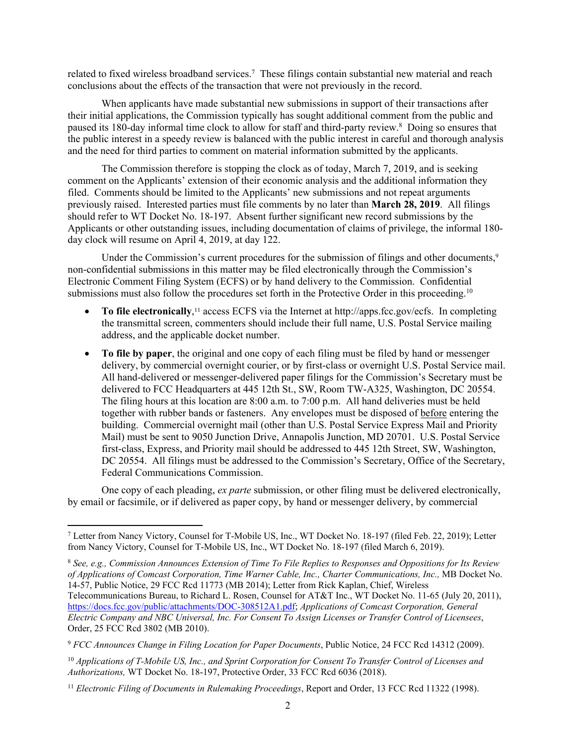related to fixed wireless broadband services.<sup>7</sup> These filings contain substantial new material and reach conclusions about the effects of the transaction that were not previously in the record.

When applicants have made substantial new submissions in support of their transactions after their initial applications, the Commission typically has sought additional comment from the public and paused its 180-day informal time clock to allow for staff and third-party review.<sup>8</sup> Doing so ensures that the public interest in a speedy review is balanced with the public interest in careful and thorough analysis and the need for third parties to comment on material information submitted by the applicants.

The Commission therefore is stopping the clock as of today, March 7, 2019, and is seeking comment on the Applicants' extension of their economic analysis and the additional information they filed. Comments should be limited to the Applicants' new submissions and not repeat arguments previously raised. Interested parties must file comments by no later than **March 28, 2019**. All filings should refer to WT Docket No. 18-197. Absent further significant new record submissions by the Applicants or other outstanding issues, including documentation of claims of privilege, the informal 180 day clock will resume on April 4, 2019, at day 122.

Under the Commission's current procedures for the submission of filings and other documents,<sup>9</sup> non-confidential submissions in this matter may be filed electronically through the Commission's Electronic Comment Filing System (ECFS) or by hand delivery to the Commission. Confidential submissions must also follow the procedures set forth in the Protective Order in this proceeding.<sup>10</sup>

- To file electronically,<sup>11</sup> access ECFS via the Internet at http://apps.fcc.gov/ecfs. In completing the transmittal screen, commenters should include their full name, U.S. Postal Service mailing address, and the applicable docket number.
- **To file by paper**, the original and one copy of each filing must be filed by hand or messenger delivery, by commercial overnight courier, or by first-class or overnight U.S. Postal Service mail. All hand-delivered or messenger-delivered paper filings for the Commission's Secretary must be delivered to FCC Headquarters at 445 12th St., SW, Room TW-A325, Washington, DC 20554. The filing hours at this location are 8:00 a.m. to 7:00 p.m. All hand deliveries must be held together with rubber bands or fasteners. Any envelopes must be disposed of before entering the building. Commercial overnight mail (other than U.S. Postal Service Express Mail and Priority Mail) must be sent to 9050 Junction Drive, Annapolis Junction, MD 20701. U.S. Postal Service first-class, Express, and Priority mail should be addressed to 445 12th Street, SW, Washington, DC 20554. All filings must be addressed to the Commission's Secretary, Office of the Secretary, Federal Communications Commission.

One copy of each pleading, *ex parte* submission, or other filing must be delivered electronically, by email or facsimile, or if delivered as paper copy, by hand or messenger delivery, by commercial

<sup>7</sup> Letter from Nancy Victory, Counsel for T-Mobile US, Inc., WT Docket No. 18-197 (filed Feb. 22, 2019); Letter from Nancy Victory, Counsel for T-Mobile US, Inc., WT Docket No. 18-197 (filed March 6, 2019).

<sup>8</sup>  *See, e.g., Commission Announces Extension of Time To File Replies to Responses and Oppositions for Its Review of Applications of Comcast Corporation, Time Warner Cable, Inc., Charter Communications, Inc.,* MB Docket No. 14-57, Public Notice, 29 FCC Rcd 11773 (MB 2014); Letter from Rick Kaplan, Chief, Wireless Telecommunications Bureau, to Richard L. Rosen, Counsel for AT&T Inc., WT Docket No. 11-65 (July 20, 2011), [https://docs.fcc.gov/public/attachments/DOC-308512A1.pdf;](https://docs.fcc.gov/public/attachments/DOC-308512A1.pdf) *Applications of Comcast Corporation, General Electric Company and NBC Universal, Inc. For Consent To Assign Licenses or Transfer Control of Licensees*,

Order, 25 FCC Rcd 3802 (MB 2010).

<sup>9</sup> *FCC Announces Change in Filing Location for Paper Documents*, Public Notice, 24 FCC Rcd 14312 (2009).

<sup>10</sup> *Applications of T-Mobile US, Inc., and Sprint Corporation for Consent To Transfer Control of Licenses and Authorizations,* WT Docket No. 18-197, Protective Order, 33 FCC Rcd 6036 (2018).

<sup>11</sup> *Electronic Filing of Documents in Rulemaking Proceedings*, Report and Order, 13 FCC Rcd 11322 (1998).